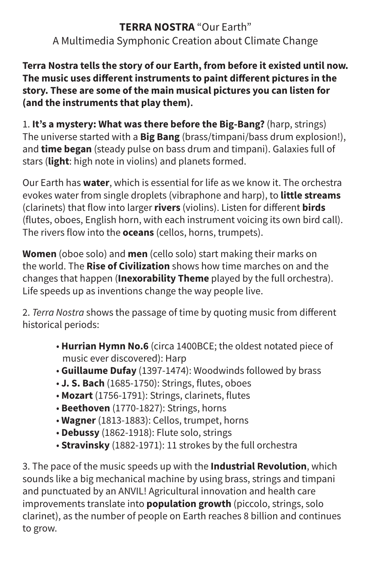## **TERRA NOSTRA** "Our Earth" A Multimedia Symphonic Creation about Climate Change

**Terra Nostra tells the story of our Earth, from before it existed until now. The music uses different instruments to paint different pictures in the story. These are some of the main musical pictures you can listen for (and the instruments that play them).**

1. **It's a mystery: What was there before the Big-Bang?** (harp, strings) The universe started with a **Big Bang** (brass/timpani/bass drum explosion!), and **time began** (steady pulse on bass drum and timpani). Galaxies full of stars (**light**: high note in violins) and planets formed.

Our Earth has **water**, which is essential for life as we know it. The orchestra evokes water from single droplets (vibraphone and harp), to **little streams** (clarinets) that flow into larger **rivers** (violins). Listen for different **birds** (flutes, oboes, English horn, with each instrument voicing its own bird call). The rivers flow into the **oceans** (cellos, horns, trumpets).

**Women** (oboe solo) and **men** (cello solo) start making their marks on the world. The **Rise of Civilization** shows how time marches on and the changes that happen (**Inexorability Theme** played by the full orchestra). Life speeds up as inventions change the way people live.

2. *Terra Nostra* shows the passage of time by quoting music from different historical periods:

- **Hurrian Hymn No.6** (circa 1400BCE; the oldest notated piece of music ever discovered): Harp
- **Guillaume Dufay** (1397-1474): Woodwinds followed by brass
- **J. S. Bach** (1685-1750): Strings, flutes, oboes
- **Mozart** (1756-1791): Strings, clarinets, flutes
- **Beethoven** (1770-1827): Strings, horns
- **Wagner** (1813-1883): Cellos, trumpet, horns
- **Debussy** (1862-1918): Flute solo, strings
- **Stravinsky** (1882-1971): 11 strokes by the full orchestra

3. The pace of the music speeds up with the **Industrial Revolution**, which sounds like a big mechanical machine by using brass, strings and timpani and punctuated by an ANVIL! Agricultural innovation and health care improvements translate into **population growth** (piccolo, strings, solo clarinet), as the number of people on Earth reaches 8 billion and continues to grow.